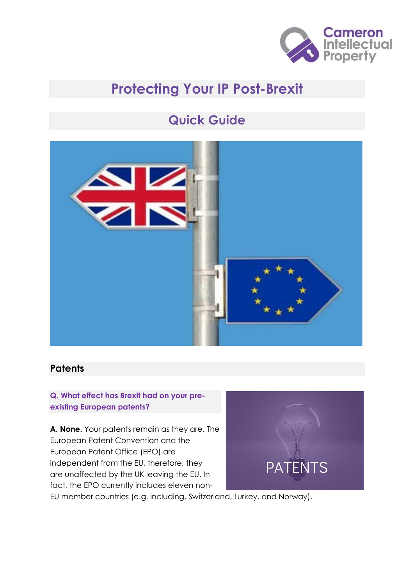

# **Protecting Your IP Post-Brexit**

# **Quick Guide**



### **Patents**

**Q. What effect has Brexit had on your preexisting European patents?** 

**A. None.** Your patents remain as they are. The European Patent Convention and the European Patent Office (EPO) are independent from the EU, therefore, they are unaffected by the UK leaving the EU. In fact, the EPO currently includes eleven non-



EU member countries (e.g. including, Switzerland, Turkey, and Norway).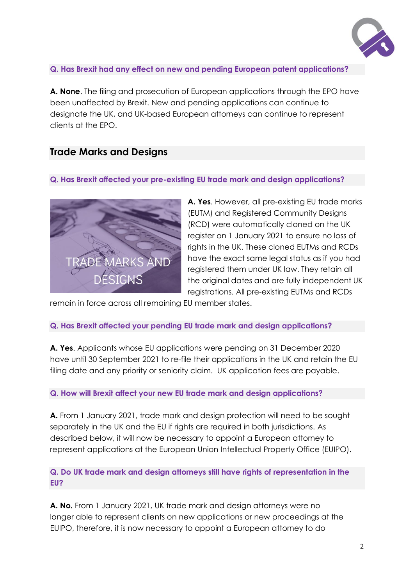

### **Q. Has Brexit had any effect on new and pending European patent applications?**

**A. None**. The filing and prosecution of European applications through the EPO have been unaffected by Brexit. New and pending applications can continue to designate the UK, and UK-based European attorneys can continue to represent clients at the EPO.

### **Trade Marks and Designs**

#### **Q. Has Brexit affected your pre-existing EU trade mark and design applications?**



**A. Yes**. However, all pre-existing EU trade marks (EUTM) and Registered Community Designs (RCD) were automatically cloned on the UK register on 1 January 2021 to ensure no loss of rights in the UK. These cloned EUTMs and RCDs have the exact same legal status as if you had registered them under UK law. They retain all the original dates and are fully independent UK registrations. All pre-existing EUTMs and RCDs

remain in force across all remaining EU member states.

#### **Q. Has Brexit affected your pending EU trade mark and design applications?**

**A. Yes**. Applicants whose EU applications were pending on 31 December 2020 have until 30 September 2021 to re-file their applications in the UK and retain the EU filing date and any priority or seniority claim. UK application fees are payable.

#### **Q. How will Brexit affect your new EU trade mark and design applications?**

**A.** From 1 January 2021, trade mark and design protection will need to be sought separately in the UK and the EU if rights are required in both jurisdictions. As described below, it will now be necessary to appoint a European attorney to represent applications at the European Union Intellectual Property Office (EUIPO).

### **Q. Do UK trade mark and design attorneys still have rights of representation in the EU?**

**A. No.** From 1 January 2021, UK trade mark and design attorneys were no longer able to represent clients on new applications or new proceedings at the EUIPO, therefore, it is now necessary to appoint a European attorney to do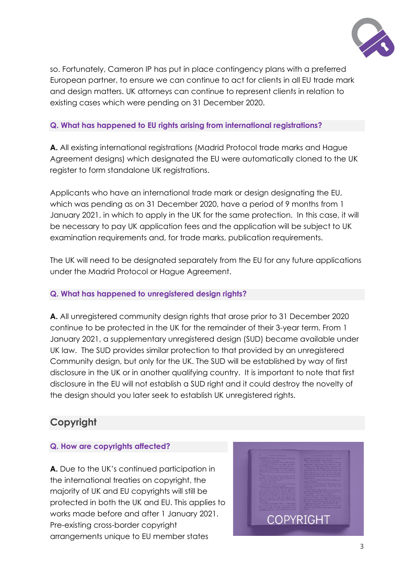

so. Fortunately, Cameron IP has put in place contingency plans with a preferred European partner, to ensure we can continue to act for clients in all EU trade mark and design matters. UK attorneys can continue to represent clients in relation to existing cases which were pending on 31 December 2020.

### **Q. What has happened to EU rights arising from international registrations?**

**A.** All existing international registrations (Madrid Protocol trade marks and Hague Agreement designs) which designated the EU were automatically cloned to the UK register to form standalone UK registrations.

Applicants who have an international trade mark or design designating the EU, which was pending as on 31 December 2020, have a period of 9 months from 1 January 2021, in which to apply in the UK for the same protection. In this case, it will be necessary to pay UK application fees and the application will be subject to UK examination requirements and, for trade marks, publication requirements.

The UK will need to be designated separately from the EU for any future applications under the Madrid Protocol or Hague Agreement.

### **Q. What has happened to unregistered design rights?**

**A.** All unregistered community design rights that arose prior to 31 December 2020 continue to be protected in the UK for the remainder of their 3-year term. From 1 January 2021, a supplementary unregistered design (SUD) became available under UK law. The SUD provides similar protection to that provided by an unregistered Community design, but only for the UK. The SUD will be established by way of first disclosure in the UK or in another qualifying country. It is important to note that first disclosure in the EU will not establish a SUD right and it could destroy the novelty of the design should you later seek to establish UK unregistered rights.

## **Copyright**

### **Q. How are copyrights affected?**

**A.** Due to the UK's continued participation in the international treaties on copyright, the majority of UK and EU copyrights will still be protected in both the UK and EU. This applies to works made before and after 1 January 2021. Pre-existing cross-border copyright arrangements unique to EU member states

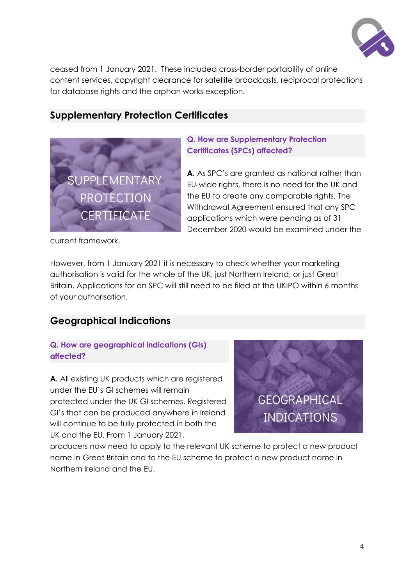

ceased from 1 January 2021. These included cross-border portability of online content services, copyright clearance for satellite broadcasts, reciprocal protections for database rights and the orphan works exception.

### **Supplementary Protection Certificates**



### **Q. How are Supplementary Protection Certificates (SPCs) affected?**

**A.** As SPC's are granted as national rather than EU-wide rights, there is no need for the UK and the EU to create any comparable rights. The Withdrawal Agreement ensured that any SPC applications which were pending as of 31 December 2020 would be examined under the

current framework.

However, from 1 January 2021 it is necessary to check whether your marketing authorisation is valid for the whole of the UK, just Northern Ireland, or just Great Britain. Applications for an SPC will still need to be filed at the UKIPO within 6 months of your authorisation.

### **Geographical Indications**

### **Q. How are geographical indications (GIs) affected?**

**A.** All existing UK products which are registered under the EU's GI schemes will remain protected under the UK GI schemes. Registered GI's that can be produced anywhere in Ireland will continue to be fully protected in both the UK and the EU. From 1 January 2021,



producers now need to apply to the relevant UK scheme to protect a new product name in Great Britain and to the EU scheme to protect a new product name in Northern Ireland and the EU.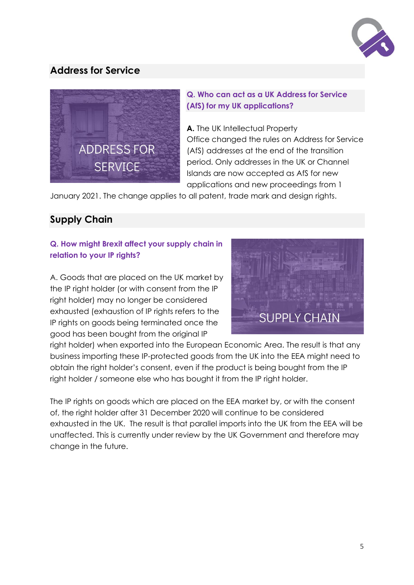

# **Address for Service**



### **Q. Who can act as a UK Address for Service (AfS) for my UK applications?**

**A.** The UK Intellectual Property Office changed the rules on Address for Service (AfS) addresses at the end of the transition period. Only addresses in the UK or Channel Islands are now accepted as AfS for new applications and new proceedings from 1

January 2021. The change applies to all patent, trade mark and design rights.

# **Supply Chain**

### **Q. How might Brexit affect your supply chain in relation to your IP rights?**

A. Goods that are placed on the UK market by the IP right holder (or with consent from the IP right holder) may no longer be considered exhausted (exhaustion of IP rights refers to the IP rights on goods being terminated once the good has been bought from the original IP



right holder) when exported into the European Economic Area. The result is that any business importing these IP-protected goods from the UK into the EEA might need to obtain the right holder's consent, even if the product is being bought from the IP right holder / someone else who has bought it from the IP right holder.

The IP rights on goods which are placed on the EEA market by, or with the consent of, the right holder after 31 December 2020 will continue to be considered exhausted in the UK. The result is that parallel imports into the UK from the EEA will be unaffected. This is currently under review by the UK Government and therefore may change in the future.